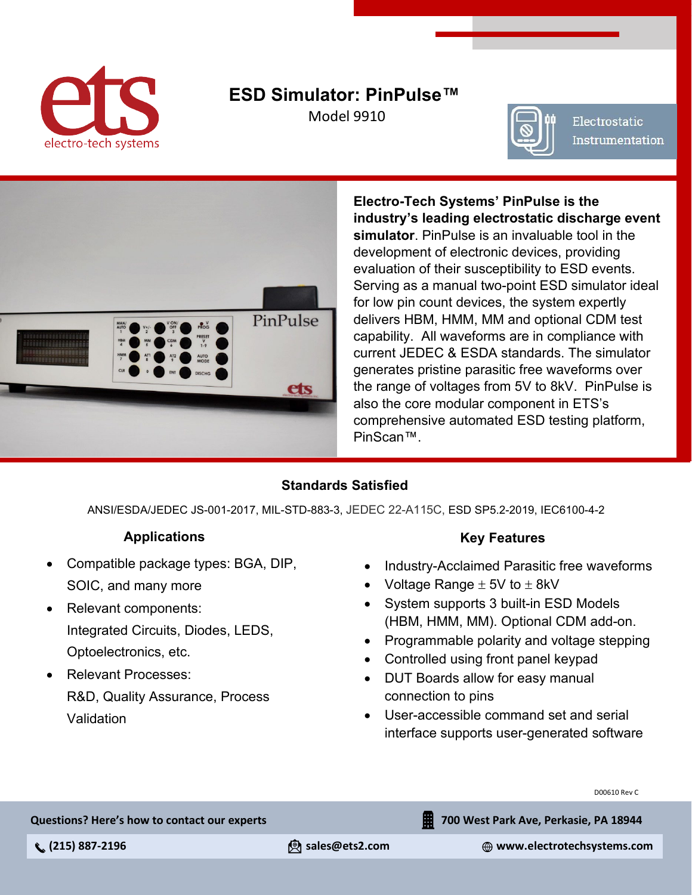

### **ESD Simulator: PinPulse™** Model 9910



Electrostatic Instrumentation



**Electro-Tech Systems' PinPulse is the industry's leading electrostatic discharge event simulator**. PinPulse is an invaluable tool in the development of electronic devices, providing evaluation of their susceptibility to ESD events. Serving as a manual two-point ESD simulator ideal for low pin count devices, the system expertly delivers HBM, HMM, MM and optional CDM test capability. All waveforms are in compliance with current JEDEC & ESDA standards. The simulator generates pristine parasitic free waveforms over the range of voltages from 5V to 8kV. PinPulse is also the core modular component in ETS's comprehensive automated ESD testing platform, PinScan™.

### **Standards Satisfied**

ANSI/ESDA/JEDEC JS-001-2017, MIL-STD-883-3, JEDEC 22-A115C, ESD SP5.2-2019, IEC6100-4-2

### **Applications**

- Compatible package types: BGA, DIP, SOIC, and many more
- Relevant components: Integrated Circuits, Diodes, LEDS, Optoelectronics, etc.
- Relevant Processes: R&D, Quality Assurance, Process Validation

### **Key Features**

- Industry-Acclaimed Parasitic free waveforms
- Voltage Range  $\pm$  5V to  $\pm$  8kV
- System supports 3 built-in ESD Models (HBM, HMM, MM). Optional CDM add-on.
- Programmable polarity and voltage stepping
- Controlled using front panel keypad
- DUT Boards allow for easy manual connection to pins
- User-accessible command set and serial interface supports user-generated software

D00610 Rev C

**Questions? Here's how to contact our experts**

**700 West Park Ave, Perkasie, PA 18944**

 **(215) 887-2196 sales@ets2.com www.electrotechsystems.com**